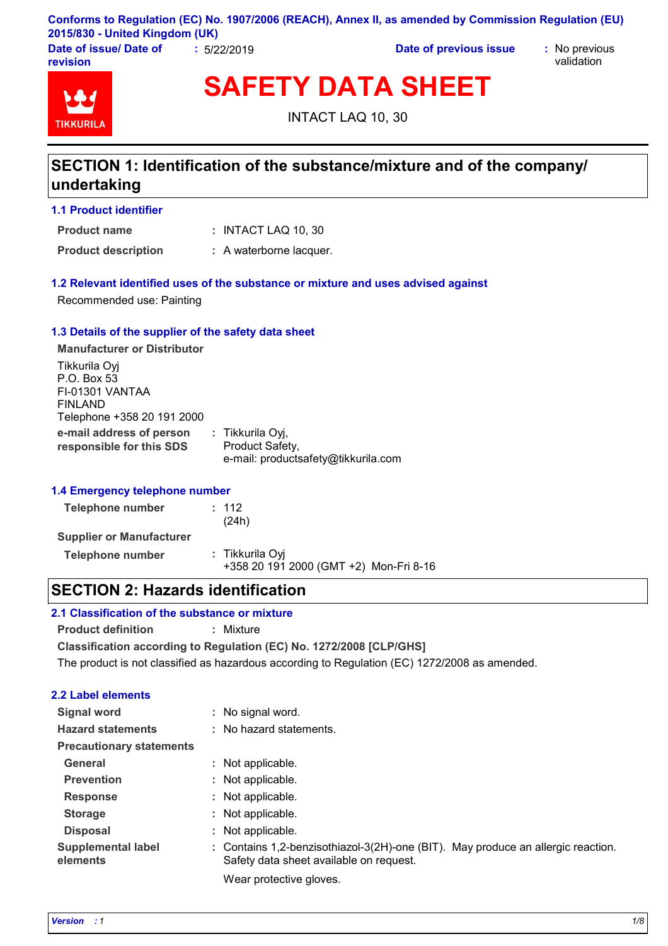**Conforms to Regulation (EC) No. 1907/2006 (REACH), Annex II, as amended by Commission Regulation (EU) 2015/830 - United Kingdom (UK)**

**Date of issue/ Date of revision**

**:** 5/22/2019 **Date of previous issue :** No previous

validation



**SAFETY DATA SHEET**

INTACT LAQ 10, 30

## **SECTION 1: Identification of the substance/mixture and of the company/ undertaking**

**1.1 Product identifier**

INTACT LAQ 10, 30 **: Product name**

**Product description :** A waterborne lacquer.

#### **1.2 Relevant identified uses of the substance or mixture and uses advised against**

Recommended use: Painting

#### **1.3 Details of the supplier of the safety data sheet**

**e-mail address of person responsible for this SDS :** Tikkurila Oyj, Product Safety, e-mail: productsafety@tikkurila.com **Manufacturer or Distributor** Tikkurila Oyj P.O. Box 53 FI-01301 VANTAA FINLAND Telephone +358 20 191 2000

#### **1.4 Emergency telephone number**

| Telephone number                | : 112<br>(24h)                                            |
|---------------------------------|-----------------------------------------------------------|
| <b>Supplier or Manufacturer</b> |                                                           |
| Telephone number                | : Tikkurila Oyi<br>+358 20 191 2000 (GMT +2) Mon-Fri 8-16 |

### **SECTION 2: Hazards identification**

### **2.1 Classification of the substance or mixture**

**Product definition :** Mixture

**Classification according to Regulation (EC) No. 1272/2008 [CLP/GHS]**

The product is not classified as hazardous according to Regulation (EC) 1272/2008 as amended.

### **2.2 Label elements**

| Signal word                           | : No signal word.                                                                                                           |
|---------------------------------------|-----------------------------------------------------------------------------------------------------------------------------|
| <b>Hazard statements</b>              | : No hazard statements.                                                                                                     |
| <b>Precautionary statements</b>       |                                                                                                                             |
| General                               | : Not applicable.                                                                                                           |
| <b>Prevention</b>                     | : Not applicable.                                                                                                           |
| <b>Response</b>                       | : Not applicable.                                                                                                           |
| <b>Storage</b>                        | : Not applicable.                                                                                                           |
| <b>Disposal</b>                       | : Not applicable.                                                                                                           |
| <b>Supplemental label</b><br>elements | : Contains 1,2-benzisothiazol-3(2H)-one (BIT). May produce an allergic reaction.<br>Safety data sheet available on request. |
|                                       | Wear protective gloves.                                                                                                     |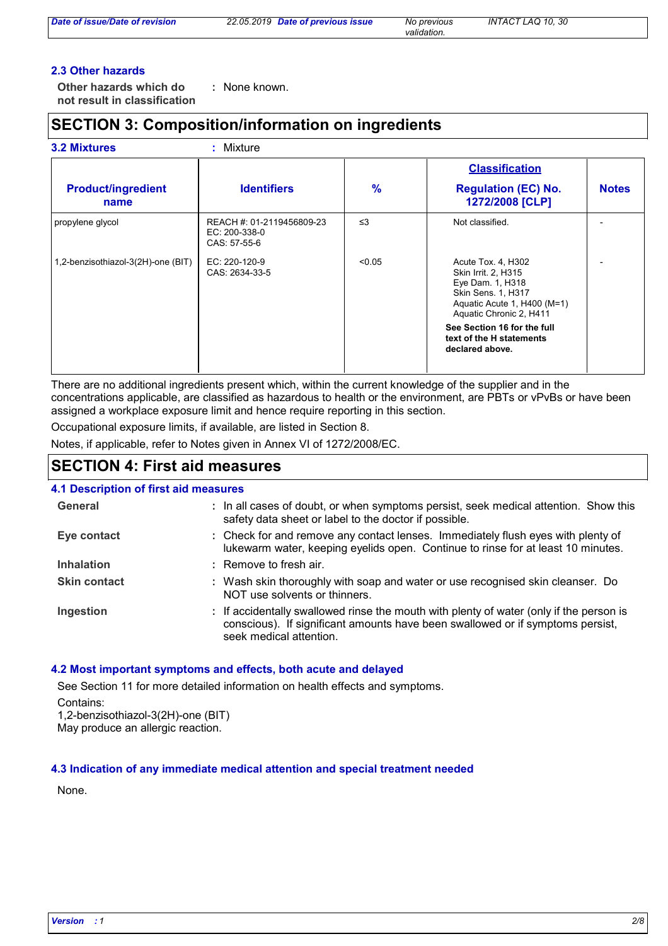*validation.*

#### **2.3 Other hazards**

**Other hazards which do : not result in classification** : None known.

# **SECTION 3: Composition/information on ingredients**

#### **3.2 Mixtures :** Mixture

|                                    |                                                            |        | <b>Classification</b>                                                                                                                         |              |
|------------------------------------|------------------------------------------------------------|--------|-----------------------------------------------------------------------------------------------------------------------------------------------|--------------|
| <b>Product/ingredient</b><br>name  | <b>Identifiers</b>                                         | $\%$   | <b>Regulation (EC) No.</b><br>1272/2008 [CLP]                                                                                                 | <b>Notes</b> |
| propylene glycol                   | REACH #: 01-2119456809-23<br>EC: 200-338-0<br>CAS: 57-55-6 | ≤3     | Not classified.                                                                                                                               |              |
| 1,2-benzisothiazol-3(2H)-one (BIT) | EC: 220-120-9<br>CAS: 2634-33-5                            | < 0.05 | Acute Tox. 4, H302<br>Skin Irrit. 2, H315<br>Eye Dam. 1, H318<br>Skin Sens. 1, H317<br>Aquatic Acute 1, H400 (M=1)<br>Aquatic Chronic 2, H411 |              |
|                                    |                                                            |        | See Section 16 for the full<br>text of the H statements<br>declared above.                                                                    |              |

There are no additional ingredients present which, within the current knowledge of the supplier and in the concentrations applicable, are classified as hazardous to health or the environment, are PBTs or vPvBs or have been assigned a workplace exposure limit and hence require reporting in this section.

Occupational exposure limits, if available, are listed in Section 8.

Notes, if applicable, refer to Notes given in Annex VI of 1272/2008/EC.

### **SECTION 4: First aid measures**

#### **4.1 Description of first aid measures**

| General             | : In all cases of doubt, or when symptoms persist, seek medical attention. Show this<br>safety data sheet or label to the doctor if possible.                                                        |
|---------------------|------------------------------------------------------------------------------------------------------------------------------------------------------------------------------------------------------|
| Eye contact         | : Check for and remove any contact lenses. Immediately flush eyes with plenty of<br>lukewarm water, keeping eyelids open. Continue to rinse for at least 10 minutes.                                 |
| <b>Inhalation</b>   | : Remove to fresh air.                                                                                                                                                                               |
| <b>Skin contact</b> | : Wash skin thoroughly with soap and water or use recognised skin cleanser. Do<br>NOT use solvents or thinners.                                                                                      |
| Ingestion           | : If accidentally swallowed rinse the mouth with plenty of water (only if the person is<br>conscious). If significant amounts have been swallowed or if symptoms persist,<br>seek medical attention. |

#### **4.2 Most important symptoms and effects, both acute and delayed**

See Section 11 for more detailed information on health effects and symptoms. Contains: 1,2-benzisothiazol-3(2H)-one (BIT)

May produce an allergic reaction.

#### **4.3 Indication of any immediate medical attention and special treatment needed**

None.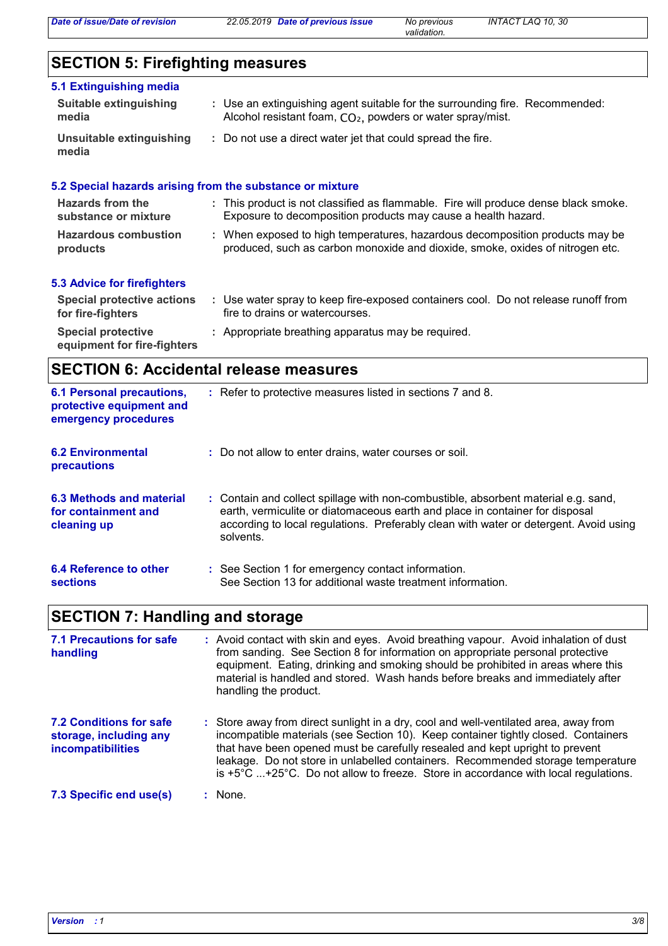*validation.*

# **SECTION 5: Firefighting measures**

| 5.1 Extinguishing media           |                                                                                                                                                        |
|-----------------------------------|--------------------------------------------------------------------------------------------------------------------------------------------------------|
| Suitable extinguishing<br>media   | : Use an extinguishing agent suitable for the surrounding fire. Recommended:<br>Alcohol resistant foam, CO <sub>2</sub> , powders or water spray/mist. |
| Unsuitable extinguishing<br>media | : Do not use a direct water jet that could spread the fire.                                                                                            |

| 5.2 Special hazards arising from the substance or mixture |                                                                                                                                                               |
|-----------------------------------------------------------|---------------------------------------------------------------------------------------------------------------------------------------------------------------|
| Hazards from the<br>substance or mixture                  | : This product is not classified as flammable. Fire will produce dense black smoke.<br>Exposure to decomposition products may cause a health hazard.          |
| <b>Hazardous combustion</b><br>products                   | : When exposed to high temperatures, hazardous decomposition products may be<br>produced, such as carbon monoxide and dioxide, smoke, oxides of nitrogen etc. |
| 5.3 Advice for firefighters                               |                                                                                                                                                               |
| <b>Special protective actions</b><br>for fire-fighters    | : Use water spray to keep fire-exposed containers cool. Do not release runoff from<br>fire to drains or watercourses.                                         |
| <b>Special protective</b><br>equipment for fire-fighters  | : Appropriate breathing apparatus may be required.                                                                                                            |

# **SECTION 6: Accidental release measures**

| <b>6.1 Personal precautions,</b><br>protective equipment and<br>emergency procedures | : Refer to protective measures listed in sections 7 and 8.                                                                                                                                                                                                               |
|--------------------------------------------------------------------------------------|--------------------------------------------------------------------------------------------------------------------------------------------------------------------------------------------------------------------------------------------------------------------------|
| <b>6.2 Environmental</b><br><b>precautions</b>                                       | : Do not allow to enter drains, water courses or soil.                                                                                                                                                                                                                   |
| 6.3 Methods and material<br>for containment and<br>cleaning up                       | : Contain and collect spillage with non-combustible, absorbent material e.g. sand,<br>earth, vermiculite or diatomaceous earth and place in container for disposal<br>according to local regulations. Preferably clean with water or detergent. Avoid using<br>solvents. |
| 6.4 Reference to other<br><b>sections</b>                                            | : See Section 1 for emergency contact information.<br>See Section 13 for additional waste treatment information.                                                                                                                                                         |

# **SECTION 7: Handling and storage**

| <b>7.1 Precautions for safe</b><br>handling                                   | : Avoid contact with skin and eyes. Avoid breathing vapour. Avoid inhalation of dust<br>from sanding. See Section 8 for information on appropriate personal protective<br>equipment. Eating, drinking and smoking should be prohibited in areas where this<br>material is handled and stored. Wash hands before breaks and immediately after<br>handling the product.                                                                                   |
|-------------------------------------------------------------------------------|---------------------------------------------------------------------------------------------------------------------------------------------------------------------------------------------------------------------------------------------------------------------------------------------------------------------------------------------------------------------------------------------------------------------------------------------------------|
| 7.2 Conditions for safe<br>storage, including any<br><i>incompatibilities</i> | : Store away from direct sunlight in a dry, cool and well-ventilated area, away from<br>incompatible materials (see Section 10). Keep container tightly closed. Containers<br>that have been opened must be carefully resealed and kept upright to prevent<br>leakage. Do not store in unlabelled containers. Recommended storage temperature<br>is $+5^{\circ}$ C $+25^{\circ}$ C. Do not allow to freeze. Store in accordance with local regulations. |
| 7.3 Specific end use(s)                                                       | $:$ None.                                                                                                                                                                                                                                                                                                                                                                                                                                               |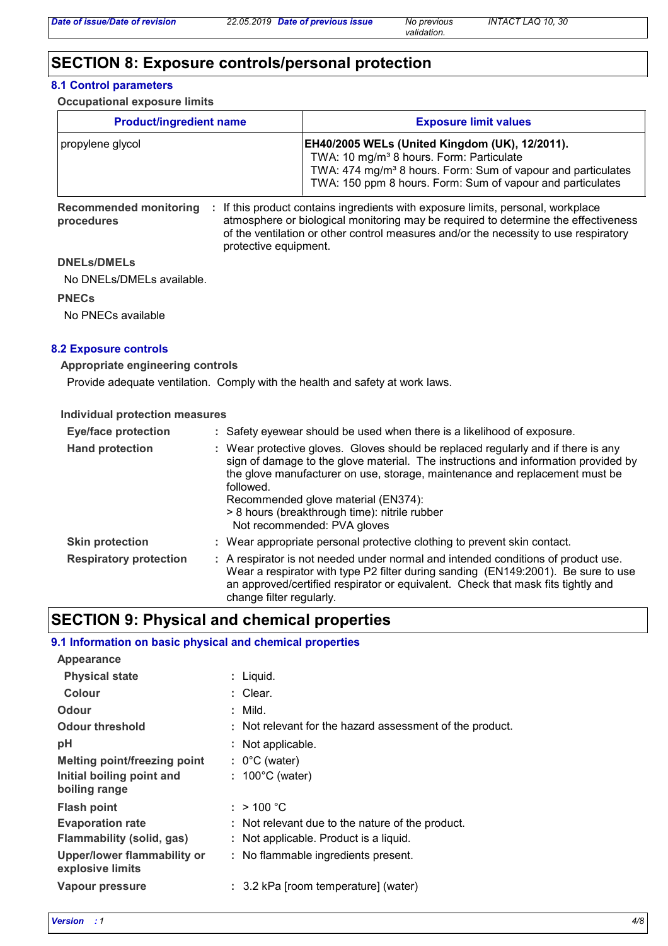# **SECTION 8: Exposure controls/personal protection**

#### **8.1 Control parameters**

#### **Occupational exposure limits**

| <b>Product/ingredient name</b>                                                                           | <b>Exposure limit values</b>                                                                                                                                                                                                                            |  |  |  |
|----------------------------------------------------------------------------------------------------------|---------------------------------------------------------------------------------------------------------------------------------------------------------------------------------------------------------------------------------------------------------|--|--|--|
| propylene glycol                                                                                         | <b>EH40/2005 WELs (United Kingdom (UK), 12/2011).</b><br>TWA: 10 mg/m <sup>3</sup> 8 hours. Form: Particulate<br>TWA: 474 mg/m <sup>3</sup> 8 hours. Form: Sum of vapour and particulates<br>TWA: 150 ppm 8 hours. Form: Sum of vapour and particulates |  |  |  |
| . If this product contains ingredients with exposure limits personal workplace<br>Recommended monitoring |                                                                                                                                                                                                                                                         |  |  |  |

**Recommended monitoring procedures**

contains ingredients with exposure limits, personal, workplace atmosphere or biological monitoring may be required to determine the effectiveness of the ventilation or other control measures and/or the necessity to use respiratory protective equipment. **:**

#### **DNELs/DMELs**

No DNELs/DMELs available.

#### **PNECs**

No PNECs available

#### **8.2 Exposure controls**

#### **Appropriate engineering controls**

Provide adequate ventilation. Comply with the health and safety at work laws.

#### **Individual protection measures**

| <b>Eye/face protection</b>    | : Safety eyewear should be used when there is a likelihood of exposure.                                                                                                                                                                                                                                                                                                                  |
|-------------------------------|------------------------------------------------------------------------------------------------------------------------------------------------------------------------------------------------------------------------------------------------------------------------------------------------------------------------------------------------------------------------------------------|
| <b>Hand protection</b>        | Wear protective gloves. Gloves should be replaced regularly and if there is any<br>sign of damage to the glove material. The instructions and information provided by<br>the glove manufacturer on use, storage, maintenance and replacement must be<br>followed.<br>Recommended glove material (EN374):<br>> 8 hours (breakthrough time): nitrile rubber<br>Not recommended: PVA gloves |
| <b>Skin protection</b>        | : Wear appropriate personal protective clothing to prevent skin contact.                                                                                                                                                                                                                                                                                                                 |
| <b>Respiratory protection</b> | : A respirator is not needed under normal and intended conditions of product use.<br>Wear a respirator with type P2 filter during sanding (EN149:2001). Be sure to use<br>an approved/certified respirator or equivalent. Check that mask fits tightly and<br>change filter regularly.                                                                                                   |

### **SECTION 9: Physical and chemical properties**

#### **9.1 Information on basic physical and chemical properties**

| Appearance                                      |                                                          |
|-------------------------------------------------|----------------------------------------------------------|
| <b>Physical state</b>                           | : Liquid.                                                |
| Colour                                          | : Clear.                                                 |
| Odour                                           | $:$ Mild.                                                |
| <b>Odour threshold</b>                          | : Not relevant for the hazard assessment of the product. |
| рH                                              | : Not applicable.                                        |
| <b>Melting point/freezing point</b>             | $: 0^{\circ}$ C (water)                                  |
| Initial boiling point and                       | $: 100^{\circ}$ C (water)                                |
| boiling range                                   |                                                          |
| <b>Flash point</b>                              | : $> 100 °C$                                             |
| <b>Evaporation rate</b>                         | : Not relevant due to the nature of the product.         |
| Flammability (solid, gas)                       | : Not applicable. Product is a liquid.                   |
| Upper/lower flammability or<br>explosive limits | : No flammable ingredients present.                      |
| Vapour pressure                                 | : 3.2 kPa [room temperature] (water)                     |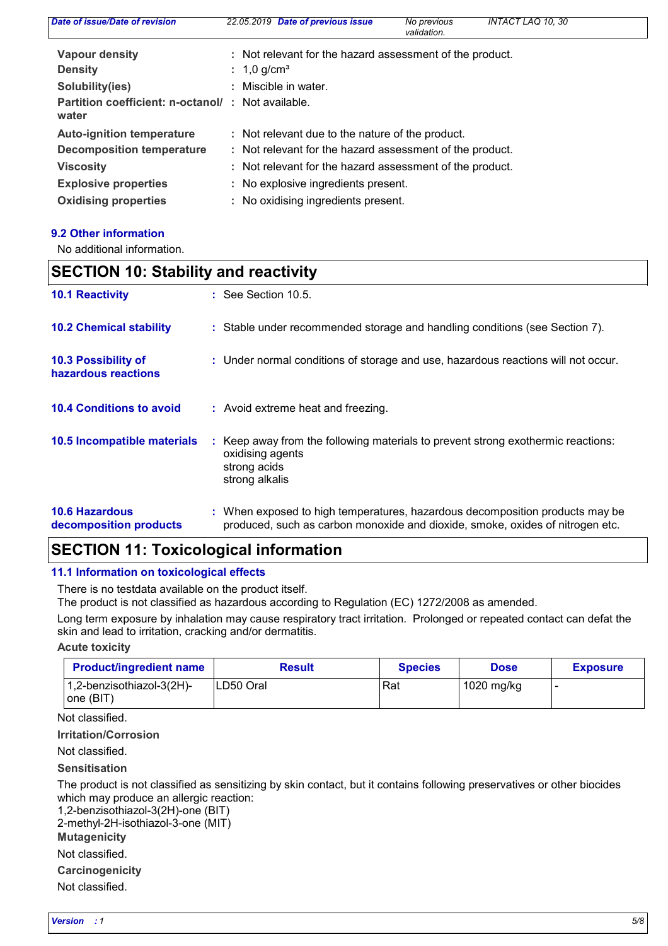| Date of issue/Date of revision                             | 22.05.2019 Date of previous issue                        | No previous<br>validation. | <b>INTACT LAQ 10, 30</b> |  |
|------------------------------------------------------------|----------------------------------------------------------|----------------------------|--------------------------|--|
| <b>Vapour density</b>                                      | : Not relevant for the hazard assessment of the product. |                            |                          |  |
| <b>Density</b>                                             | : 1,0 g/cm <sup>3</sup>                                  |                            |                          |  |
| Solubility(ies)                                            | : Miscible in water.                                     |                            |                          |  |
| Partition coefficient: n-octanol/: Not available.<br>water |                                                          |                            |                          |  |
| <b>Auto-ignition temperature</b>                           | : Not relevant due to the nature of the product.         |                            |                          |  |
| <b>Decomposition temperature</b>                           | : Not relevant for the hazard assessment of the product. |                            |                          |  |
| <b>Viscosity</b>                                           | : Not relevant for the hazard assessment of the product. |                            |                          |  |
| <b>Explosive properties</b>                                | : No explosive ingredients present.                      |                            |                          |  |
| <b>Oxidising properties</b>                                | : No oxidising ingredients present.                      |                            |                          |  |

#### **9.2 Other information**

No additional information.

| <b>SECTION 10: Stability and reactivity</b>     |                                                                                                                                                               |  |
|-------------------------------------------------|---------------------------------------------------------------------------------------------------------------------------------------------------------------|--|
| <b>10.1 Reactivity</b>                          | : See Section 10.5.                                                                                                                                           |  |
| <b>10.2 Chemical stability</b>                  | : Stable under recommended storage and handling conditions (see Section 7).                                                                                   |  |
| 10.3 Possibility of<br>hazardous reactions      | : Under normal conditions of storage and use, hazardous reactions will not occur.                                                                             |  |
| <b>10.4 Conditions to avoid</b>                 | : Avoid extreme heat and freezing.                                                                                                                            |  |
| 10.5 Incompatible materials                     | : Keep away from the following materials to prevent strong exothermic reactions:<br>oxidising agents<br>strong acids<br>strong alkalis                        |  |
| <b>10.6 Hazardous</b><br>decomposition products | : When exposed to high temperatures, hazardous decomposition products may be<br>produced, such as carbon monoxide and dioxide, smoke, oxides of nitrogen etc. |  |

### **SECTION 11: Toxicological information**

#### **11.1 Information on toxicological effects**

There is no testdata available on the product itself.

The product is not classified as hazardous according to Regulation (EC) 1272/2008 as amended.

Long term exposure by inhalation may cause respiratory tract irritation. Prolonged or repeated contact can defat the skin and lead to irritation, cracking and/or dermatitis.

#### **Acute toxicity**

| <b>Product/ingredient name</b>         | <b>Result</b> | <b>Species</b> | <b>Dose</b> | <b>Exposure</b> |
|----------------------------------------|---------------|----------------|-------------|-----------------|
| 1,2-benzisothiazol-3(2H)-<br> one(BIT) | LD50 Oral     | Rat            | 1020 mg/kg  |                 |

Not classified.

**Irritation/Corrosion**

Not classified.

**Sensitisation**

The product is not classified as sensitizing by skin contact, but it contains following preservatives or other biocides which may produce an allergic reaction:

1,2-benzisothiazol-3(2H)-one (BIT)

2-methyl-2H-isothiazol-3-one (MIT)

**Mutagenicity**

Not classified.

**Carcinogenicity**

Not classified.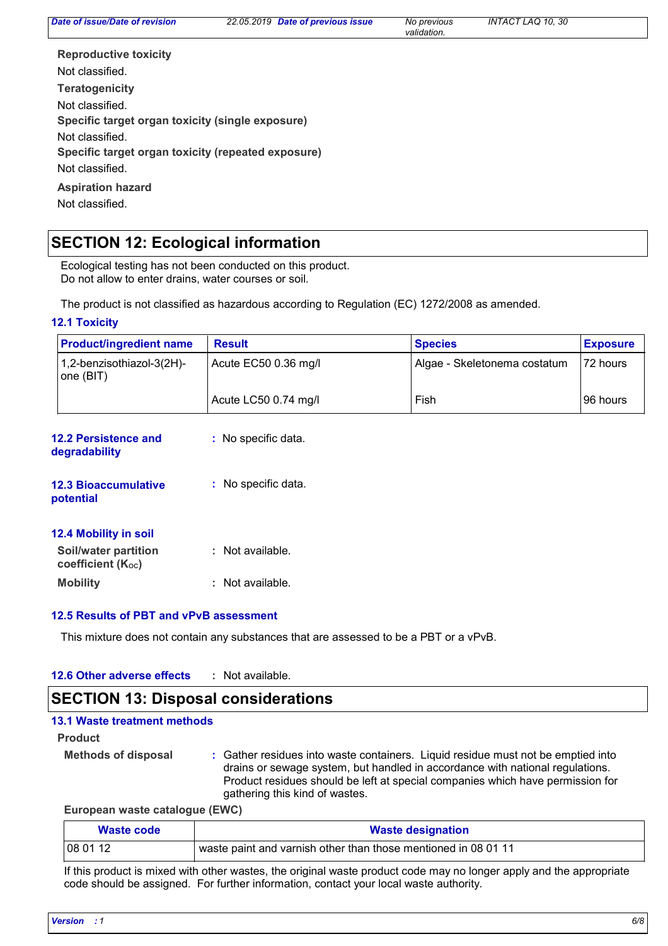| Date of issue/Date of revision                     | <b>Date of previous issue</b><br>22.05.2019 | No previous<br>validation. | <b>INTACT LAQ 10, 30</b> |  |
|----------------------------------------------------|---------------------------------------------|----------------------------|--------------------------|--|
| <b>Reproductive toxicity</b>                       |                                             |                            |                          |  |
| Not classified.                                    |                                             |                            |                          |  |
| <b>Teratogenicity</b>                              |                                             |                            |                          |  |
| Not classified.                                    |                                             |                            |                          |  |
| Specific target organ toxicity (single exposure)   |                                             |                            |                          |  |
| Not classified.                                    |                                             |                            |                          |  |
| Specific target organ toxicity (repeated exposure) |                                             |                            |                          |  |
| Not classified.                                    |                                             |                            |                          |  |
| <b>Aspiration hazard</b>                           |                                             |                            |                          |  |
| Not classified.                                    |                                             |                            |                          |  |

## **SECTION 12: Ecological information**

Ecological testing has not been conducted on this product. Do not allow to enter drains, water courses or soil.

The product is not classified as hazardous according to Regulation (EC) 1272/2008 as amended.

#### **12.1 Toxicity**

| <b>Product/ingredient name</b>         | <b>Result</b>        | <b>Species</b>               | <b>Exposure</b> |
|----------------------------------------|----------------------|------------------------------|-----------------|
| 1,2-benzisothiazol-3(2H)-<br>one (BIT) | Acute EC50 0.36 mg/l | Algae - Skeletonema costatum | 172 hours       |
|                                        | Acute LC50 0.74 mg/l | Fish                         | 196 hours       |

| 12.2 Persistence and<br>degradability     | : No specific data. |
|-------------------------------------------|---------------------|
| <b>12.3 Bioaccumulative</b><br>potential  | : No specific data. |
| 12.4 Mobility in soil                     |                     |
| Soil/water partition<br>coefficient (Koc) | : Not available.    |
| <b>Mobility</b>                           | : Not available.    |

#### **12.5 Results of PBT and vPvB assessment**

This mixture does not contain any substances that are assessed to be a PBT or a vPvB.

#### **12.6 Other adverse effects :**

### **SECTION 13: Disposal considerations**

| 13.1 Waste treatment methods |                                                                                                                                                                                                                                                                                       |
|------------------------------|---------------------------------------------------------------------------------------------------------------------------------------------------------------------------------------------------------------------------------------------------------------------------------------|
| <b>Product</b>               |                                                                                                                                                                                                                                                                                       |
| <b>Methods of disposal</b>   | : Gather residues into waste containers. Liquid residue must not be emptied into<br>drains or sewage system, but handled in accordance with national regulations.<br>Product residues should be left at special companies which have permission for<br>gathering this kind of wastes. |

#### **European waste catalogue (EWC)**

| Waste code | <b>Waste designation</b>                                       |
|------------|----------------------------------------------------------------|
| 08 01 12   | waste paint and varnish other than those mentioned in 08 01 11 |

If this product is mixed with other wastes, the original waste product code may no longer apply and the appropriate code should be assigned. For further information, contact your local waste authority.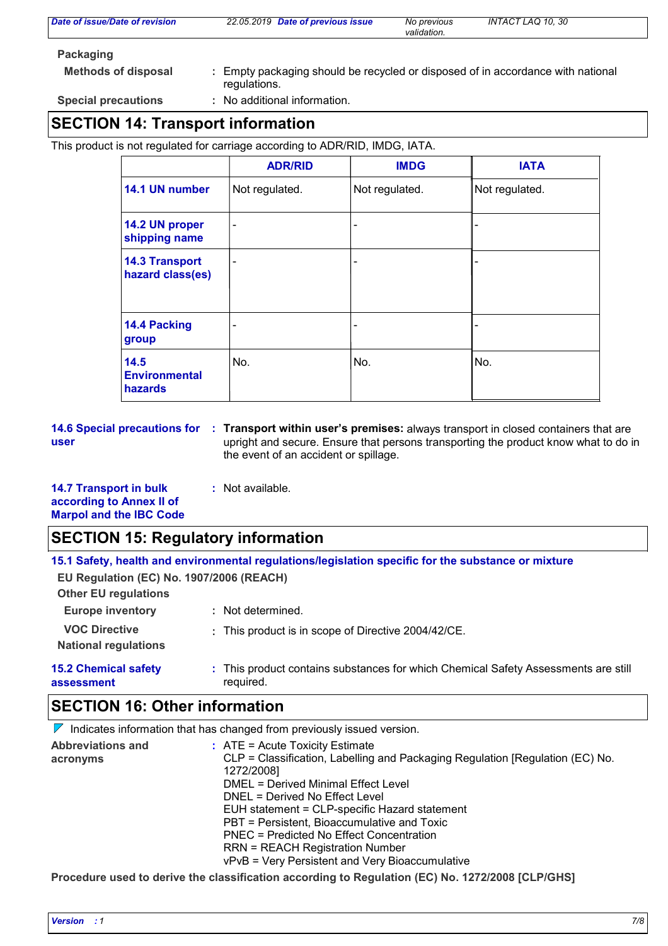| Date of issue/Date of revision | 22.05.2019 Date of previous issue                                                               | No previous<br>validation. | INTACT LAQ 10, 30 |
|--------------------------------|-------------------------------------------------------------------------------------------------|----------------------------|-------------------|
| Packaging                      |                                                                                                 |                            |                   |
| <b>Methods of disposal</b>     | : Empty packaging should be recycled or disposed of in accordance with national<br>regulations. |                            |                   |
| <b>Special precautions</b>     | : No additional information.                                                                    |                            |                   |

# **SECTION 14: Transport information**

This product is not regulated for carriage according to ADR/RID, IMDG, IATA.

|                                           | <b>ADR/RID</b>           | <b>IMDG</b>              | <b>IATA</b>    |
|-------------------------------------------|--------------------------|--------------------------|----------------|
| 14.1 UN number                            | Not regulated.           | Not regulated.           | Not regulated. |
| 14.2 UN proper<br>shipping name           |                          | -                        |                |
| <b>14.3 Transport</b><br>hazard class(es) | $\overline{\phantom{0}}$ | -                        |                |
| 14.4 Packing<br>group                     |                          | $\overline{\phantom{0}}$ |                |
| 14.5<br><b>Environmental</b><br>hazards   | No.                      | No.                      | No.            |

**user**

**14.6 Special precautions for : Transport within user's premises: always transport in closed containers that are** upright and secure. Ensure that persons transporting the product know what to do in the event of an accident or spillage.

**14.7 Transport in bulk according to Annex II of Marpol and the IBC Code :** Not available.

### **SECTION 15: Regulatory information**

| 15.1 Safety, health and environmental regulations/legislation specific for the substance or mixture |  |
|-----------------------------------------------------------------------------------------------------|--|
|-----------------------------------------------------------------------------------------------------|--|

**EU Regulation (EC) No. 1907/2006 (REACH)**

| <b>Other EU regulations</b>                         |                                                                                                 |
|-----------------------------------------------------|-------------------------------------------------------------------------------------------------|
| <b>Europe inventory</b>                             | : Not determined.                                                                               |
| <b>VOC Directive</b><br><b>National regulations</b> | : This product is in scope of Directive 2004/42/CE.                                             |
| <b>15.2 Chemical safety</b><br>assessment           | : This product contains substances for which Chemical Safety Assessments are still<br>required. |

## **SECTION 16: Other information**

 $\nabla$  Indicates information that has changed from previously issued version.

| <b>Abbreviations and</b> | $:$ ATE = Acute Toxicity Estimate                                             |
|--------------------------|-------------------------------------------------------------------------------|
| acronyms                 | CLP = Classification, Labelling and Packaging Regulation [Regulation (EC) No. |
|                          | 1272/2008]                                                                    |
|                          | DMEL = Derived Minimal Effect Level                                           |
|                          | DNEL = Derived No Effect Level                                                |
|                          | EUH statement = CLP-specific Hazard statement                                 |
|                          | PBT = Persistent, Bioaccumulative and Toxic                                   |
|                          | PNEC = Predicted No Effect Concentration                                      |
|                          | <b>RRN = REACH Registration Number</b>                                        |
|                          | vPvB = Very Persistent and Very Bioaccumulative                               |
|                          |                                                                               |

**Procedure used to derive the classification according to Regulation (EC) No. 1272/2008 [CLP/GHS]**